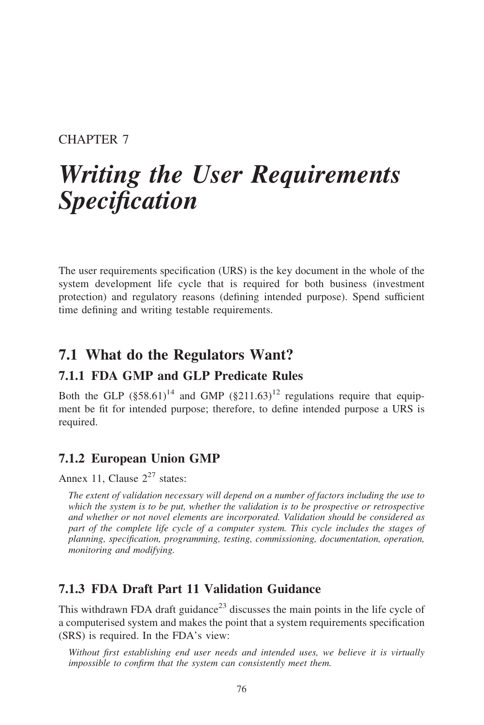#### CHAPTER 7

# Writing the User Requirements Specification

The user requirements specification (URS) is the key document in the whole of the system development life cycle that is required for both business (investment protection) and regulatory reasons (defining intended purpose). Spend sufficient time defining and writing testable requirements.

# 7.1 What do the Regulators Want?

#### 7.1.1 FDA GMP and GLP Predicate Rules

Both the GLP  $(\S 58.61)^{14}$  and GMP  $(\S 211.63)^{12}$  regulations require that equipment be fit for intended purpose; therefore, to define intended purpose a URS is required.

#### 7.1.2 European Union GMP

Annex 11, Clause  $2^{27}$  states:

The extent of validation necessary will depend on a number of factors including the use to which the system is to be put, whether the validation is to be prospective or retrospective and whether or not novel elements are incorporated. Validation should be considered as part of the complete life cycle of a computer system. This cycle includes the stages of planning, specification, programming, testing, commissioning, documentation, operation, monitoring and modifying.

## 7.1.3 FDA Draft Part 11 Validation Guidance

This withdrawn FDA draft guidance<sup>23</sup> discusses the main points in the life cycle of a computerised system and makes the point that a system requirements specification (SRS) is required. In the FDA's view:

Without first establishing end user needs and intended uses, we believe it is virtually impossible to confirm that the system can consistently meet them.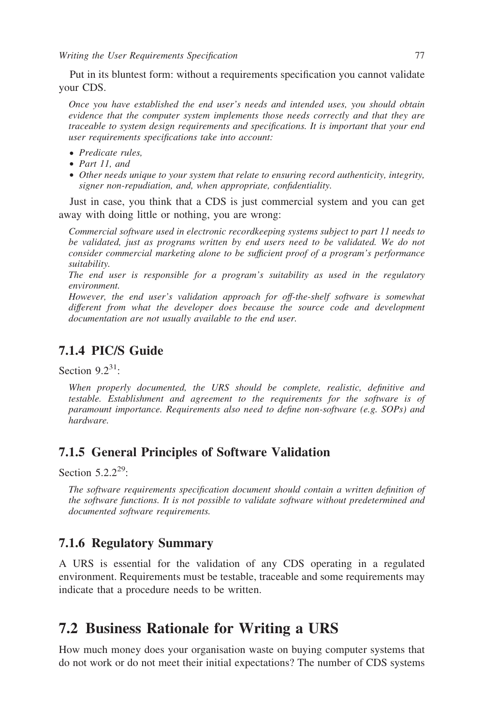Put in its bluntest form: without a requirements specification you cannot validate your CDS.

Once you have established the end user's needs and intended uses, you should obtain evidence that the computer system implements those needs correctly and that they are traceable to system design requirements and specifications. It is important that your end user requirements specifications take into account:

- . Predicate rules,
- . Part 11, and
- . Other needs unique to your system that relate to ensuring record authenticity, integrity, signer non-repudiation, and, when appropriate, confidentiality.

Just in case, you think that a CDS is just commercial system and you can get away with doing little or nothing, you are wrong:

Commercial software used in electronic recordkeeping systems subject to part 11 needs to be validated, just as programs written by end users need to be validated. We do not consider commercial marketing alone to be sufficient proof of a program's performance suitability.

The end user is responsible for a program's suitability as used in the regulatory environment.

However, the end user's validation approach for off-the-shelf software is somewhat different from what the developer does because the source code and development documentation are not usually available to the end user.

#### 7.1.4 PIC/S Guide

Section  $9.2^{31}$ 

When properly documented, the URS should be complete, realistic, definitive and testable. Establishment and agreement to the requirements for the software is of paramount importance. Requirements also need to define non-software (e.g. SOPs) and hardware.

#### 7.1.5 General Principles of Software Validation

Section  $5.2.2^{29}$ 

The software requirements specification document should contain a written definition of the software functions. It is not possible to validate software without predetermined and documented software requirements.

#### 7.1.6 Regulatory Summary

A URS is essential for the validation of any CDS operating in a regulated environment. Requirements must be testable, traceable and some requirements may indicate that a procedure needs to be written.

# 7.2 Business Rationale for Writing a URS

How much money does your organisation waste on buying computer systems that do not work or do not meet their initial expectations? The number of CDS systems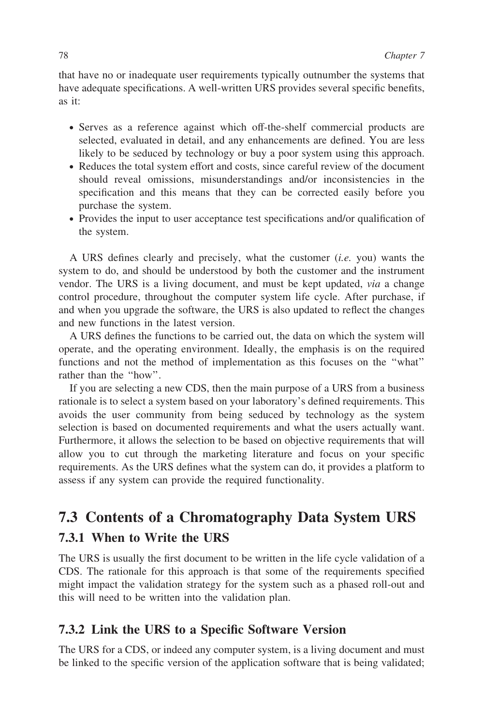that have no or inadequate user requirements typically outnumber the systems that have adequate specifications. A well-written URS provides several specific benefits, as it:

- . Serves as a reference against which off-the-shelf commercial products are selected, evaluated in detail, and any enhancements are defined. You are less likely to be seduced by technology or buy a poor system using this approach.
- . Reduces the total system effort and costs, since careful review of the document should reveal omissions, misunderstandings and/or inconsistencies in the specification and this means that they can be corrected easily before you purchase the system.
- . Provides the input to user acceptance test specifications and/or qualification of the system.

A URS defines clearly and precisely, what the customer (i.e. you) wants the system to do, and should be understood by both the customer and the instrument vendor. The URS is a living document, and must be kept updated, via a change control procedure, throughout the computer system life cycle. After purchase, if and when you upgrade the software, the URS is also updated to reflect the changes and new functions in the latest version.

A URS defines the functions to be carried out, the data on which the system will operate, and the operating environment. Ideally, the emphasis is on the required functions and not the method of implementation as this focuses on the ''what'' rather than the ''how''.

If you are selecting a new CDS, then the main purpose of a URS from a business rationale is to select a system based on your laboratory's defined requirements. This avoids the user community from being seduced by technology as the system selection is based on documented requirements and what the users actually want. Furthermore, it allows the selection to be based on objective requirements that will allow you to cut through the marketing literature and focus on your specific requirements. As the URS defines what the system can do, it provides a platform to assess if any system can provide the required functionality.

# 7.3 Contents of a Chromatography Data System URS

#### 7.3.1 When to Write the URS

The URS is usually the first document to be written in the life cycle validation of a CDS. The rationale for this approach is that some of the requirements specified might impact the validation strategy for the system such as a phased roll-out and this will need to be written into the validation plan.

## 7.3.2 Link the URS to a Specific Software Version

The URS for a CDS, or indeed any computer system, is a living document and must be linked to the specific version of the application software that is being validated;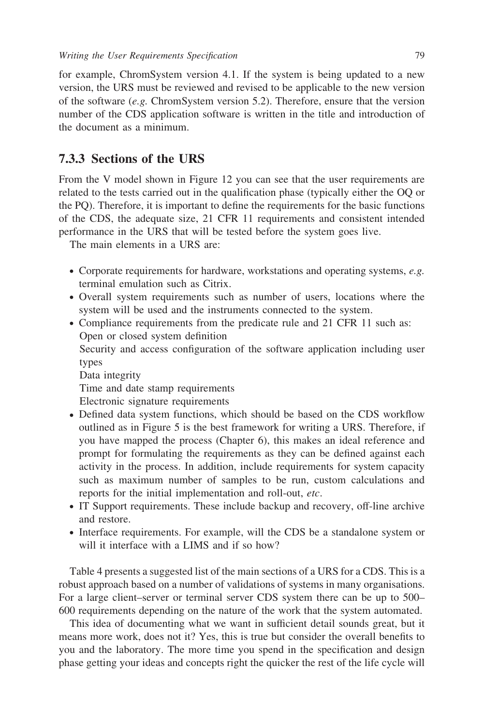for example, ChromSystem version 4.1. If the system is being updated to a new version, the URS must be reviewed and revised to be applicable to the new version of the software (e.g. ChromSystem version 5.2). Therefore, ensure that the version number of the CDS application software is written in the title and introduction of the document as a minimum.

#### 7.3.3 Sections of the URS

From the V model shown in Figure 12 you can see that the user requirements are related to the tests carried out in the qualification phase (typically either the OQ or the PQ). Therefore, it is important to define the requirements for the basic functions of the CDS, the adequate size, 21 CFR 11 requirements and consistent intended performance in the URS that will be tested before the system goes live.

The main elements in a URS are:

- . Corporate requirements for hardware, workstations and operating systems, e.g. terminal emulation such as Citrix.
- . Overall system requirements such as number of users, locations where the system will be used and the instruments connected to the system.
- . Compliance requirements from the predicate rule and 21 CFR 11 such as: Open or closed system definition Security and access configuration of the software application including user types Data integrity Time and date stamp requirements

Electronic signature requirements

- . Defined data system functions, which should be based on the CDS workflow outlined as in Figure 5 is the best framework for writing a URS. Therefore, if you have mapped the process (Chapter 6), this makes an ideal reference and prompt for formulating the requirements as they can be defined against each activity in the process. In addition, include requirements for system capacity such as maximum number of samples to be run, custom calculations and reports for the initial implementation and roll-out, etc.
- . IT Support requirements. These include backup and recovery, off-line archive and restore.
- . Interface requirements. For example, will the CDS be a standalone system or will it interface with a LIMS and if so how?

Table 4 presents a suggested list of the main sections of a URS for a CDS. This is a robust approach based on a number of validations of systems in many organisations. For a large client–server or terminal server CDS system there can be up to 500– 600 requirements depending on the nature of the work that the system automated.

This idea of documenting what we want in sufficient detail sounds great, but it means more work, does not it? Yes, this is true but consider the overall benefits to you and the laboratory. The more time you spend in the specification and design phase getting your ideas and concepts right the quicker the rest of the life cycle will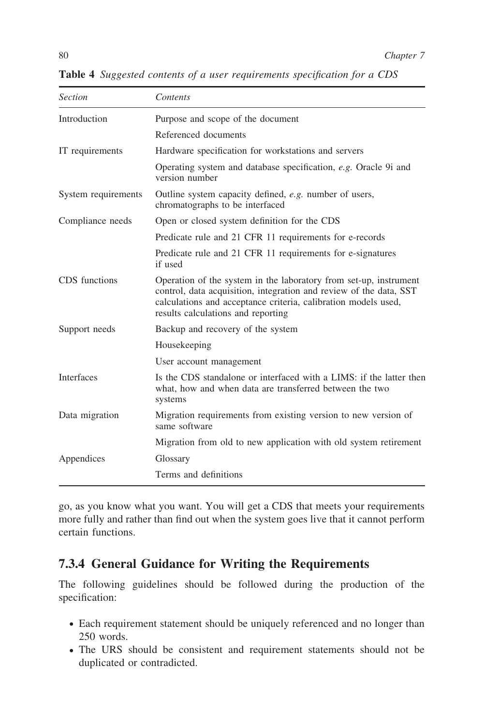| <b>Section</b>      | Contents                                                                                                                                                                                                                                        |
|---------------------|-------------------------------------------------------------------------------------------------------------------------------------------------------------------------------------------------------------------------------------------------|
| Introduction        | Purpose and scope of the document                                                                                                                                                                                                               |
|                     | Referenced documents                                                                                                                                                                                                                            |
| IT requirements     | Hardware specification for workstations and servers                                                                                                                                                                                             |
|                     | Operating system and database specification, e.g. Oracle 9i and<br>version number                                                                                                                                                               |
| System requirements | Outline system capacity defined, e.g. number of users,<br>chromatographs to be interfaced                                                                                                                                                       |
| Compliance needs    | Open or closed system definition for the CDS                                                                                                                                                                                                    |
|                     | Predicate rule and 21 CFR 11 requirements for e-records                                                                                                                                                                                         |
|                     | Predicate rule and 21 CFR 11 requirements for e-signatures<br>if used                                                                                                                                                                           |
| CDS functions       | Operation of the system in the laboratory from set-up, instrument<br>control, data acquisition, integration and review of the data, SST<br>calculations and acceptance criteria, calibration models used,<br>results calculations and reporting |
| Support needs       | Backup and recovery of the system                                                                                                                                                                                                               |
|                     | Housekeeping                                                                                                                                                                                                                                    |
|                     | User account management                                                                                                                                                                                                                         |
| <b>Interfaces</b>   | Is the CDS standalone or interfaced with a LIMS: if the latter then<br>what, how and when data are transferred between the two<br>systems                                                                                                       |
| Data migration      | Migration requirements from existing version to new version of<br>same software                                                                                                                                                                 |
|                     | Migration from old to new application with old system retirement                                                                                                                                                                                |
| Appendices          | Glossary                                                                                                                                                                                                                                        |
|                     | Terms and definitions                                                                                                                                                                                                                           |

Table 4 Suggested contents of a user requirements specification for a CDS

go, as you know what you want. You will get a CDS that meets your requirements more fully and rather than find out when the system goes live that it cannot perform certain functions.

#### 7.3.4 General Guidance for Writing the Requirements

The following guidelines should be followed during the production of the specification:

- . Each requirement statement should be uniquely referenced and no longer than 250 words.
- . The URS should be consistent and requirement statements should not be duplicated or contradicted.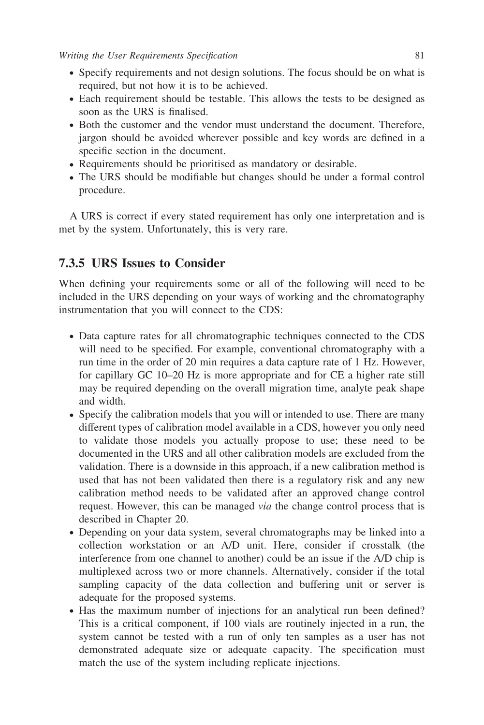- . Specify requirements and not design solutions. The focus should be on what is required, but not how it is to be achieved.
- . Each requirement should be testable. This allows the tests to be designed as soon as the URS is finalised.
- . Both the customer and the vendor must understand the document. Therefore, jargon should be avoided wherever possible and key words are defined in a specific section in the document.
- . Requirements should be prioritised as mandatory or desirable.
- . The URS should be modifiable but changes should be under a formal control procedure.

A URS is correct if every stated requirement has only one interpretation and is met by the system. Unfortunately, this is very rare.

# 7.3.5 URS Issues to Consider

When defining your requirements some or all of the following will need to be included in the URS depending on your ways of working and the chromatography instrumentation that you will connect to the CDS:

- . Data capture rates for all chromatographic techniques connected to the CDS will need to be specified. For example, conventional chromatography with a run time in the order of 20 min requires a data capture rate of 1 Hz. However, for capillary GC 10–20 Hz is more appropriate and for CE a higher rate still may be required depending on the overall migration time, analyte peak shape and width.
- . Specify the calibration models that you will or intended to use. There are many different types of calibration model available in a CDS, however you only need to validate those models you actually propose to use; these need to be documented in the URS and all other calibration models are excluded from the validation. There is a downside in this approach, if a new calibration method is used that has not been validated then there is a regulatory risk and any new calibration method needs to be validated after an approved change control request. However, this can be managed via the change control process that is described in Chapter 20.
- . Depending on your data system, several chromatographs may be linked into a collection workstation or an A/D unit. Here, consider if crosstalk (the interference from one channel to another) could be an issue if the A/D chip is multiplexed across two or more channels. Alternatively, consider if the total sampling capacity of the data collection and buffering unit or server is adequate for the proposed systems.
- . Has the maximum number of injections for an analytical run been defined? This is a critical component, if 100 vials are routinely injected in a run, the system cannot be tested with a run of only ten samples as a user has not demonstrated adequate size or adequate capacity. The specification must match the use of the system including replicate injections.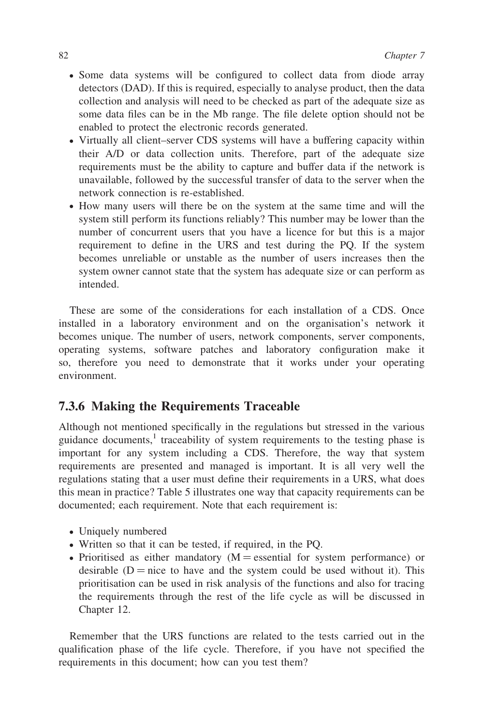- . Some data systems will be configured to collect data from diode array detectors (DAD). If this is required, especially to analyse product, then the data collection and analysis will need to be checked as part of the adequate size as some data files can be in the Mb range. The file delete option should not be enabled to protect the electronic records generated.
- . Virtually all client–server CDS systems will have a buffering capacity within their A/D or data collection units. Therefore, part of the adequate size requirements must be the ability to capture and buffer data if the network is unavailable, followed by the successful transfer of data to the server when the network connection is re-established.
- . How many users will there be on the system at the same time and will the system still perform its functions reliably? This number may be lower than the number of concurrent users that you have a licence for but this is a major requirement to define in the URS and test during the PQ. If the system becomes unreliable or unstable as the number of users increases then the system owner cannot state that the system has adequate size or can perform as intended.

These are some of the considerations for each installation of a CDS. Once installed in a laboratory environment and on the organisation's network it becomes unique. The number of users, network components, server components, operating systems, software patches and laboratory configuration make it so, therefore you need to demonstrate that it works under your operating environment.

## 7.3.6 Making the Requirements Traceable

Although not mentioned specifically in the regulations but stressed in the various guidance documents, 1 traceability of system requirements to the testing phase is important for any system including a CDS. Therefore, the way that system requirements are presented and managed is important. It is all very well the regulations stating that a user must define their requirements in a URS, what does this mean in practice? Table 5 illustrates one way that capacity requirements can be documented; each requirement. Note that each requirement is:

- . Uniquely numbered
- . Written so that it can be tested, if required, in the PQ.
- Prioritised as either mandatory  $(M =$  essential for system performance) or desirable ( $D$  = nice to have and the system could be used without it). This prioritisation can be used in risk analysis of the functions and also for tracing the requirements through the rest of the life cycle as will be discussed in Chapter 12.

Remember that the URS functions are related to the tests carried out in the qualification phase of the life cycle. Therefore, if you have not specified the requirements in this document; how can you test them?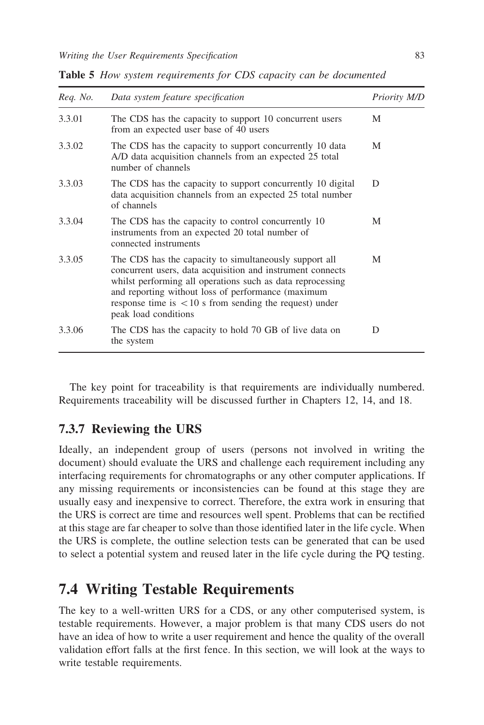| Req. No. | Data system feature specification                                                                                                                                                                                                                                                                                             | Priority M/D |
|----------|-------------------------------------------------------------------------------------------------------------------------------------------------------------------------------------------------------------------------------------------------------------------------------------------------------------------------------|--------------|
| 3.3.01   | The CDS has the capacity to support 10 concurrent users<br>from an expected user base of 40 users                                                                                                                                                                                                                             | M            |
| 3.3.02   | The CDS has the capacity to support concurrently 10 data<br>A/D data acquisition channels from an expected 25 total<br>number of channels                                                                                                                                                                                     | M            |
| 3.3.03   | The CDS has the capacity to support concurrently 10 digital<br>data acquisition channels from an expected 25 total number<br>of channels                                                                                                                                                                                      | D            |
| 3.3.04   | The CDS has the capacity to control concurrently 10<br>instruments from an expected 20 total number of<br>connected instruments                                                                                                                                                                                               | M            |
| 3.3.05   | The CDS has the capacity to simultaneously support all<br>concurrent users, data acquisition and instrument connects<br>whilst performing all operations such as data reprocessing<br>and reporting without loss of performance (maximum<br>response time is $<$ 10 s from sending the request) under<br>peak load conditions | M            |
| 3.3.06   | The CDS has the capacity to hold 70 GB of live data on<br>the system                                                                                                                                                                                                                                                          | D            |

Table 5 How system requirements for CDS capacity can be documented

The key point for traceability is that requirements are individually numbered. Requirements traceability will be discussed further in Chapters 12, 14, and 18.

#### 7.3.7 Reviewing the URS

Ideally, an independent group of users (persons not involved in writing the document) should evaluate the URS and challenge each requirement including any interfacing requirements for chromatographs or any other computer applications. If any missing requirements or inconsistencies can be found at this stage they are usually easy and inexpensive to correct. Therefore, the extra work in ensuring that the URS is correct are time and resources well spent. Problems that can be rectified at this stage are far cheaper to solve than those identified later in the life cycle. When the URS is complete, the outline selection tests can be generated that can be used to select a potential system and reused later in the life cycle during the PQ testing.

# 7.4 Writing Testable Requirements

The key to a well-written URS for a CDS, or any other computerised system, is testable requirements. However, a major problem is that many CDS users do not have an idea of how to write a user requirement and hence the quality of the overall validation effort falls at the first fence. In this section, we will look at the ways to write testable requirements.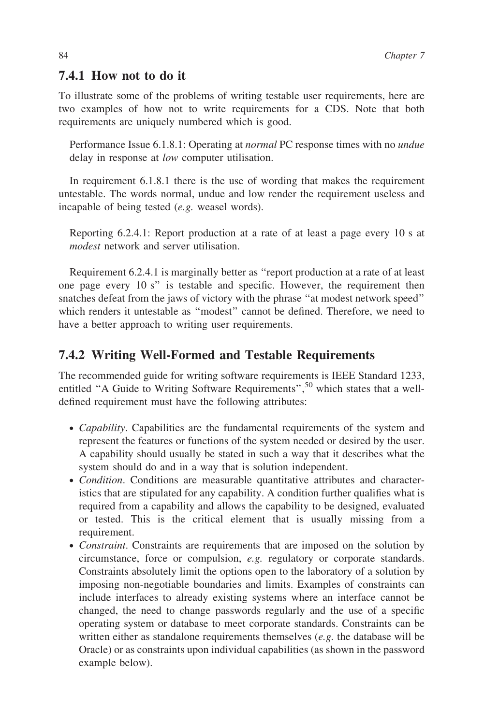#### 7.4.1 How not to do it

To illustrate some of the problems of writing testable user requirements, here are two examples of how not to write requirements for a CDS. Note that both requirements are uniquely numbered which is good.

Performance Issue 6.1.8.1: Operating at *normal* PC response times with no *undue* delay in response at *low* computer utilisation.

In requirement 6.1.8.1 there is the use of wording that makes the requirement untestable. The words normal, undue and low render the requirement useless and incapable of being tested (e.g. weasel words).

Reporting 6.2.4.1: Report production at a rate of at least a page every 10 s at modest network and server utilisation.

Requirement 6.2.4.1 is marginally better as ''report production at a rate of at least one page every 10 s'' is testable and specific. However, the requirement then snatches defeat from the jaws of victory with the phrase ''at modest network speed'' which renders it untestable as "modest" cannot be defined. Therefore, we need to have a better approach to writing user requirements.

#### 7.4.2 Writing Well-Formed and Testable Requirements

The recommended guide for writing software requirements is IEEE Standard 1233, entitled "A Guide to Writing Software Requirements",<sup>50</sup> which states that a welldefined requirement must have the following attributes:

- . Capability. Capabilities are the fundamental requirements of the system and represent the features or functions of the system needed or desired by the user. A capability should usually be stated in such a way that it describes what the system should do and in a way that is solution independent.
- . Condition. Conditions are measurable quantitative attributes and characteristics that are stipulated for any capability. A condition further qualifies what is required from a capability and allows the capability to be designed, evaluated or tested. This is the critical element that is usually missing from a requirement.
- . Constraint. Constraints are requirements that are imposed on the solution by circumstance, force or compulsion, e.g. regulatory or corporate standards. Constraints absolutely limit the options open to the laboratory of a solution by imposing non-negotiable boundaries and limits. Examples of constraints can include interfaces to already existing systems where an interface cannot be changed, the need to change passwords regularly and the use of a specific operating system or database to meet corporate standards. Constraints can be written either as standalone requirements themselves (e.g. the database will be Oracle) or as constraints upon individual capabilities (as shown in the password example below).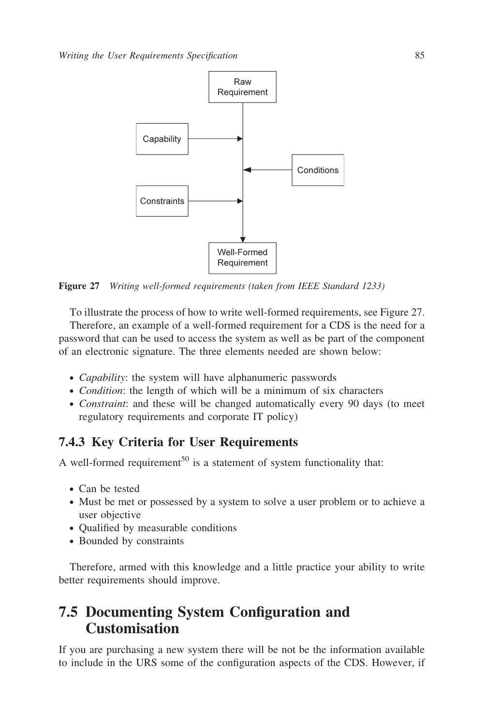

Figure 27 Writing well-formed requirements (taken from IEEE Standard 1233)

To illustrate the process of how to write well-formed requirements, see Figure 27. Therefore, an example of a well-formed requirement for a CDS is the need for a password that can be used to access the system as well as be part of the component of an electronic signature. The three elements needed are shown below:

- *Capability*: the system will have alphanumeric passwords
- . Condition: the length of which will be a minimum of six characters
- *Constraint*: and these will be changed automatically every 90 days (to meet regulatory requirements and corporate IT policy)

## 7.4.3 Key Criteria for User Requirements

A well-formed requirement<sup>50</sup> is a statement of system functionality that:

- . Can be tested
- . Must be met or possessed by a system to solve a user problem or to achieve a user objective
- . Qualified by measurable conditions
- . Bounded by constraints

Therefore, armed with this knowledge and a little practice your ability to write better requirements should improve.

# 7.5 Documenting System Configuration and Customisation

If you are purchasing a new system there will be not be the information available to include in the URS some of the configuration aspects of the CDS. However, if